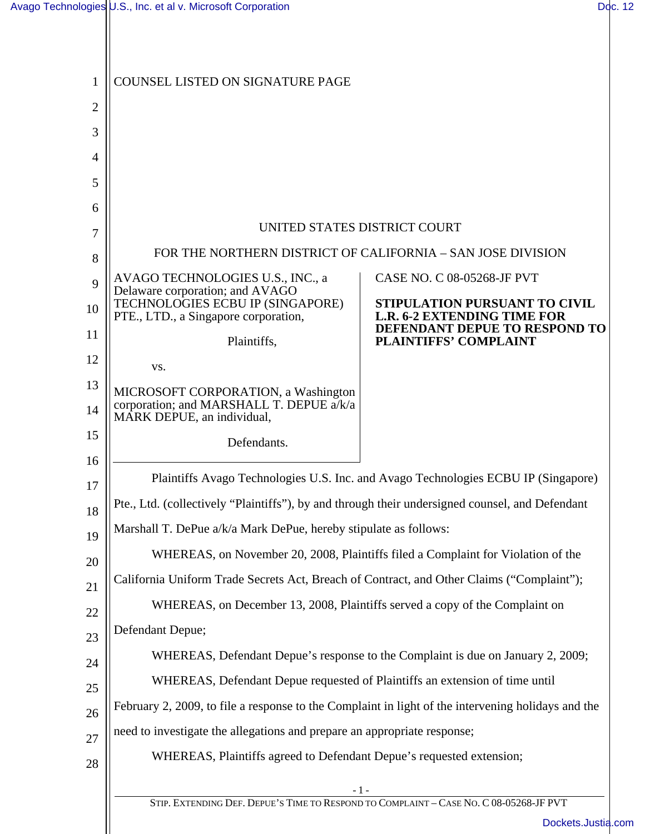| 1              | COUNSEL LISTED ON SIGNATURE PAGE                                                                              |                                                                                                      |  |
|----------------|---------------------------------------------------------------------------------------------------------------|------------------------------------------------------------------------------------------------------|--|
| $\overline{2}$ |                                                                                                               |                                                                                                      |  |
| 3              |                                                                                                               |                                                                                                      |  |
| 4              |                                                                                                               |                                                                                                      |  |
| 5              |                                                                                                               |                                                                                                      |  |
| 6              |                                                                                                               |                                                                                                      |  |
| 7              | UNITED STATES DISTRICT COURT                                                                                  |                                                                                                      |  |
| 8              | FOR THE NORTHERN DISTRICT OF CALIFORNIA - SAN JOSE DIVISION                                                   |                                                                                                      |  |
| 9              | AVAGO TECHNOLOGIES U.S., INC., a<br>Delaware corporation; and AVAGO                                           | CASE NO. C 08-05268-JF PVT                                                                           |  |
| 10             | TECHNOLOGIES ECBU IP (SINGAPORE)<br>PTE., LTD., a Singapore corporation,                                      | STIPULATION PURSUANT TO CIVIL<br><b>L.R. 6-2 EXTENDING TIME FOR</b><br>DEFENDANT DEPUE TO RESPOND TO |  |
| 11             | Plaintiffs,                                                                                                   | <b>PLAINTIFFS' COMPLAINT</b>                                                                         |  |
| 12             | VS.                                                                                                           |                                                                                                      |  |
| 13<br>14       | MICROSOFT CORPORATION, a Washington<br>corporation; and MARSHALL T. DEPUE a/k/a<br>MARK DEPUE, an individual, |                                                                                                      |  |
| 15             | Defendants.                                                                                                   |                                                                                                      |  |
| 16             |                                                                                                               |                                                                                                      |  |
| 17             | Plaintiffs Avago Technologies U.S. Inc. and Avago Technologies ECBU IP (Singapore)                            |                                                                                                      |  |
| 18             | Pte., Ltd. (collectively "Plaintiffs"), by and through their undersigned counsel, and Defendant               |                                                                                                      |  |
| 19             | Marshall T. DePue a/k/a Mark DePue, hereby stipulate as follows:                                              |                                                                                                      |  |
| 20             | WHEREAS, on November 20, 2008, Plaintiffs filed a Complaint for Violation of the                              |                                                                                                      |  |
| 21             | California Uniform Trade Secrets Act, Breach of Contract, and Other Claims ("Complaint");                     |                                                                                                      |  |
| 22             | WHEREAS, on December 13, 2008, Plaintiffs served a copy of the Complaint on                                   |                                                                                                      |  |
| 23             | Defendant Depue;                                                                                              |                                                                                                      |  |
| 24             | WHEREAS, Defendant Depue's response to the Complaint is due on January 2, 2009;                               |                                                                                                      |  |
| 25             | WHEREAS, Defendant Depue requested of Plaintiffs an extension of time until                                   |                                                                                                      |  |
| 26             | February 2, 2009, to file a response to the Complaint in light of the intervening holidays and the            |                                                                                                      |  |
| 27             | need to investigate the allegations and prepare an appropriate response;                                      |                                                                                                      |  |
| 28             | WHEREAS, Plaintiffs agreed to Defendant Depue's requested extension;                                          |                                                                                                      |  |
|                | - 1 -<br>STIP. EXTENDING DEF. DEPUE'S TIME TO RESPOND TO COMPLAINT - CASE NO. C 08-05268-JF PVT               |                                                                                                      |  |
|                |                                                                                                               | Dockets.Justia.c                                                                                     |  |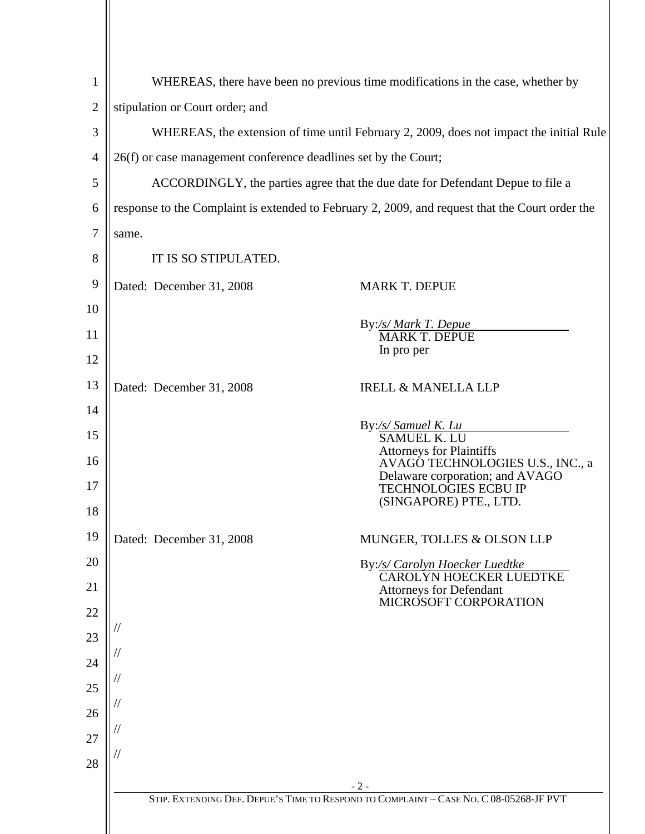| $\overline{2}$                        | stipulation or Court order; and<br>26(f) or case management conference deadlines set by the Court;<br>same.<br>IT IS SO STIPULATED.<br>Dated: December 31, 2008 | WHEREAS, there have been no previous time modifications in the case, whether by<br>WHEREAS, the extension of time until February 2, 2009, does not impact the initial Rule<br>ACCORDINGLY, the parties agree that the due date for Defendant Depue to file a<br>response to the Complaint is extended to February 2, 2009, and request that the Court order the<br>MARK T. DEPUE<br>By:/s/ Mark T. Depue<br><b>MARK T. DEPUE</b> |
|---------------------------------------|-----------------------------------------------------------------------------------------------------------------------------------------------------------------|----------------------------------------------------------------------------------------------------------------------------------------------------------------------------------------------------------------------------------------------------------------------------------------------------------------------------------------------------------------------------------------------------------------------------------|
| 3                                     |                                                                                                                                                                 |                                                                                                                                                                                                                                                                                                                                                                                                                                  |
| 4<br>5                                |                                                                                                                                                                 |                                                                                                                                                                                                                                                                                                                                                                                                                                  |
|                                       |                                                                                                                                                                 |                                                                                                                                                                                                                                                                                                                                                                                                                                  |
| 6                                     |                                                                                                                                                                 |                                                                                                                                                                                                                                                                                                                                                                                                                                  |
| 7<br>8                                |                                                                                                                                                                 |                                                                                                                                                                                                                                                                                                                                                                                                                                  |
|                                       |                                                                                                                                                                 |                                                                                                                                                                                                                                                                                                                                                                                                                                  |
| 9<br>10<br>11<br>12<br>13<br>14<br>15 |                                                                                                                                                                 |                                                                                                                                                                                                                                                                                                                                                                                                                                  |
|                                       |                                                                                                                                                                 |                                                                                                                                                                                                                                                                                                                                                                                                                                  |
|                                       |                                                                                                                                                                 |                                                                                                                                                                                                                                                                                                                                                                                                                                  |
|                                       |                                                                                                                                                                 |                                                                                                                                                                                                                                                                                                                                                                                                                                  |
|                                       |                                                                                                                                                                 | In pro per                                                                                                                                                                                                                                                                                                                                                                                                                       |
|                                       | Dated: December 31, 2008                                                                                                                                        | <b>IRELL &amp; MANELLA LLP</b>                                                                                                                                                                                                                                                                                                                                                                                                   |
|                                       |                                                                                                                                                                 |                                                                                                                                                                                                                                                                                                                                                                                                                                  |
|                                       |                                                                                                                                                                 | By:/s/ Samuel K. Lu<br><b>SAMUEL K. LU</b>                                                                                                                                                                                                                                                                                                                                                                                       |
| 16                                    |                                                                                                                                                                 | <b>Attorneys for Plaintiffs</b><br>AVAGO TECHNOLOGIES U.S., INC., a                                                                                                                                                                                                                                                                                                                                                              |
| 17                                    |                                                                                                                                                                 | Delaware corporation; and AVAGO<br><b>TECHNOLOGIES ECBU IP</b><br>(SINGAPORE) PTE., LTD.                                                                                                                                                                                                                                                                                                                                         |
| 18                                    |                                                                                                                                                                 |                                                                                                                                                                                                                                                                                                                                                                                                                                  |
| 19                                    | Dated: December 31, 2008                                                                                                                                        | MUNGER, TOLLES & OLSON LLP                                                                                                                                                                                                                                                                                                                                                                                                       |
| 20                                    |                                                                                                                                                                 | By:/s/ Carolyn Hoecker Luedtke<br><b>CAROLYN HOECKER LUEDTKE</b>                                                                                                                                                                                                                                                                                                                                                                 |
| 21                                    |                                                                                                                                                                 | <b>Attorneys for Defendant</b><br>MICROSOFT CORPORATION                                                                                                                                                                                                                                                                                                                                                                          |
| 22                                    |                                                                                                                                                                 |                                                                                                                                                                                                                                                                                                                                                                                                                                  |
| 23                                    |                                                                                                                                                                 |                                                                                                                                                                                                                                                                                                                                                                                                                                  |
| 24                                    |                                                                                                                                                                 |                                                                                                                                                                                                                                                                                                                                                                                                                                  |
| 25                                    |                                                                                                                                                                 |                                                                                                                                                                                                                                                                                                                                                                                                                                  |
| 26                                    |                                                                                                                                                                 |                                                                                                                                                                                                                                                                                                                                                                                                                                  |
|                                       |                                                                                                                                                                 |                                                                                                                                                                                                                                                                                                                                                                                                                                  |
| 28                                    |                                                                                                                                                                 | $-2-$                                                                                                                                                                                                                                                                                                                                                                                                                            |